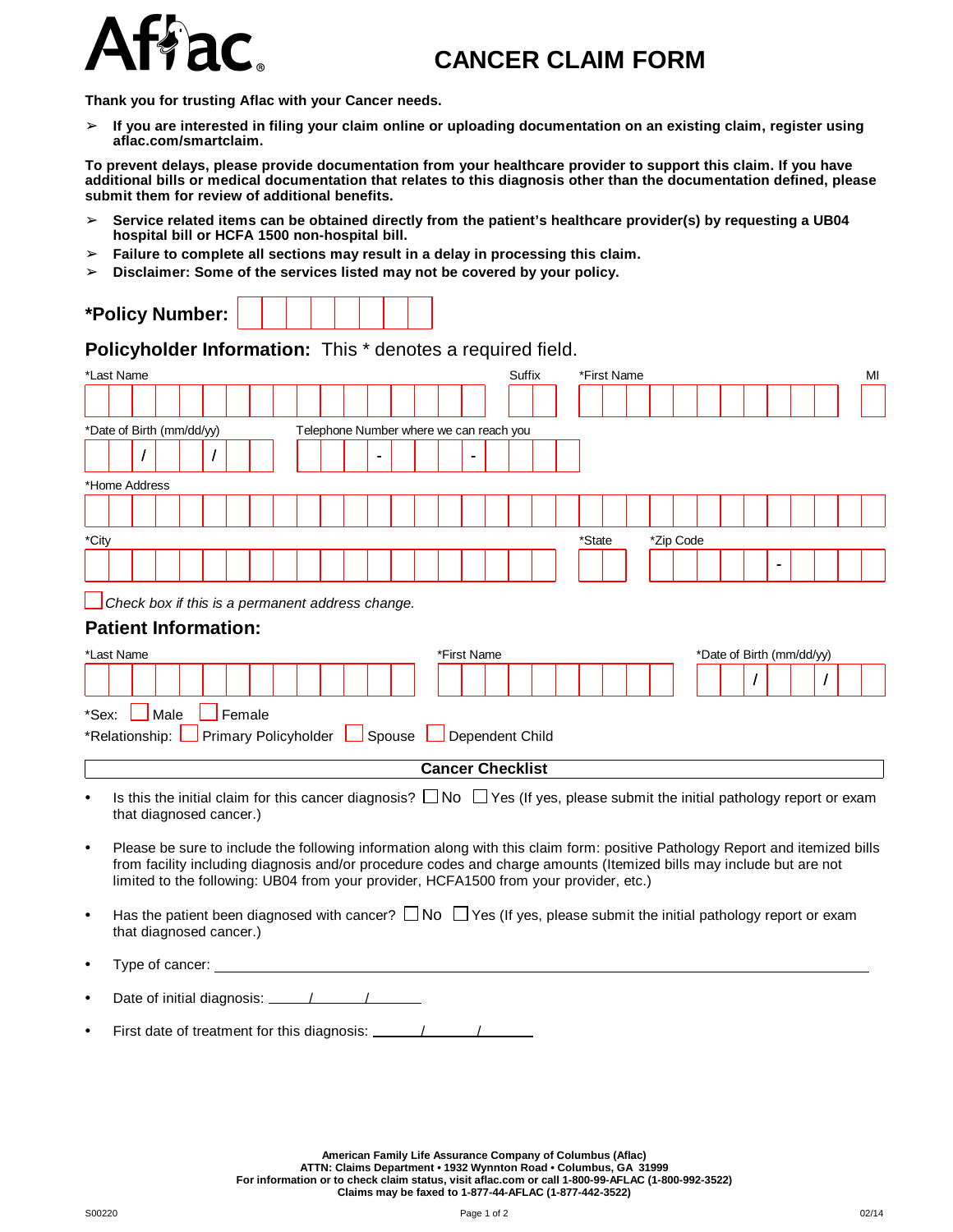

**Thank you for trusting Aflac with your Cancer needs.**

 $>$  If you are interested in filing your claim online or uploading documentation on an existing claim, register using **aflac.com/smartclaim.**

To prevent delays, please provide documentation from your healthcare provider to support this claim. If you have additional bills or medical documentation that relates to this diagnosis other than the documentation defined, please **submit them for review of additional benefits.**

- ➢ **Service related items can be obtained directly from the patient's healthcare provider(s) by requesting a UB04 hospital bill or HCFA 1500 non-hospital bill.**
- ➢ **Failure to complete all sections may result in a delay in processing this claim.**
- ➢ **Disclaimer: Some of the services listed may not be covered by your policy.**

| *Policy Number: |  |  |  |  |  |  |  |  |  |
|-----------------|--|--|--|--|--|--|--|--|--|
|-----------------|--|--|--|--|--|--|--|--|--|

**Policyholder Information:** This \* denotes a required field.

|           | *Last Name                                       |          |      |                         |        |  |  |  |             |                | Suffix                                  |  | *First Name                                                                                                                                                                                                                                                                                                                                  |           |  |  |                           |  | МΙ |  |
|-----------|--------------------------------------------------|----------|------|-------------------------|--------|--|--|--|-------------|----------------|-----------------------------------------|--|----------------------------------------------------------------------------------------------------------------------------------------------------------------------------------------------------------------------------------------------------------------------------------------------------------------------------------------------|-----------|--|--|---------------------------|--|----|--|
|           |                                                  |          |      |                         |        |  |  |  |             |                |                                         |  |                                                                                                                                                                                                                                                                                                                                              |           |  |  |                           |  |    |  |
|           | *Date of Birth (mm/dd/yy)                        |          |      |                         |        |  |  |  |             |                | Telephone Number where we can reach you |  |                                                                                                                                                                                                                                                                                                                                              |           |  |  |                           |  |    |  |
|           |                                                  | $\prime$ |      |                         |        |  |  |  |             | $\blacksquare$ |                                         |  |                                                                                                                                                                                                                                                                                                                                              |           |  |  |                           |  |    |  |
|           | *Home Address                                    |          |      |                         |        |  |  |  |             |                |                                         |  |                                                                                                                                                                                                                                                                                                                                              |           |  |  |                           |  |    |  |
|           |                                                  |          |      |                         |        |  |  |  |             |                |                                         |  |                                                                                                                                                                                                                                                                                                                                              |           |  |  |                           |  |    |  |
| *City     |                                                  |          |      |                         |        |  |  |  |             |                |                                         |  | *State                                                                                                                                                                                                                                                                                                                                       | *Zip Code |  |  |                           |  |    |  |
|           |                                                  |          |      |                         |        |  |  |  |             |                |                                         |  |                                                                                                                                                                                                                                                                                                                                              |           |  |  |                           |  |    |  |
|           | Check box if this is a permanent address change. |          |      |                         |        |  |  |  |             |                |                                         |  |                                                                                                                                                                                                                                                                                                                                              |           |  |  |                           |  |    |  |
|           | <b>Patient Information:</b>                      |          |      |                         |        |  |  |  |             |                |                                         |  |                                                                                                                                                                                                                                                                                                                                              |           |  |  |                           |  |    |  |
|           | *Last Name                                       |          |      |                         |        |  |  |  | *First Name |                |                                         |  |                                                                                                                                                                                                                                                                                                                                              |           |  |  | *Date of Birth (mm/dd/yy) |  |    |  |
|           |                                                  |          |      |                         |        |  |  |  |             |                |                                         |  |                                                                                                                                                                                                                                                                                                                                              |           |  |  |                           |  |    |  |
| *Sex:     |                                                  |          | Male |                         | Female |  |  |  |             |                |                                         |  |                                                                                                                                                                                                                                                                                                                                              |           |  |  |                           |  |    |  |
|           | *Relationship: Primary Policyholder              |          |      |                         |        |  |  |  |             |                | Spouse <u>Dependent</u> Child           |  |                                                                                                                                                                                                                                                                                                                                              |           |  |  |                           |  |    |  |
|           |                                                  |          |      |                         |        |  |  |  |             |                | <b>Cancer Checklist</b>                 |  |                                                                                                                                                                                                                                                                                                                                              |           |  |  |                           |  |    |  |
| $\bullet$ | that diagnosed cancer.)                          |          |      |                         |        |  |  |  |             |                |                                         |  | Is this the initial claim for this cancer diagnosis? $\Box$ No $\Box$ Yes (If yes, please submit the initial pathology report or exam                                                                                                                                                                                                        |           |  |  |                           |  |    |  |
| $\bullet$ |                                                  |          |      |                         |        |  |  |  |             |                |                                         |  | Please be sure to include the following information along with this claim form: positive Pathology Report and itemized bills<br>from facility including diagnosis and/or procedure codes and charge amounts (Itemized bills may include but are not<br>limited to the following: UB04 from your provider, HCFA1500 from your provider, etc.) |           |  |  |                           |  |    |  |
| $\bullet$ |                                                  |          |      | that diagnosed cancer.) |        |  |  |  |             |                |                                         |  | Has the patient been diagnosed with cancer? $\square$ No $\square$ Yes (If yes, please submit the initial pathology report or exam                                                                                                                                                                                                           |           |  |  |                           |  |    |  |

Type of cancer:

• Date of initial diagnosis: / /

First date of treatment for this diagnosis:  $\frac{1}{2}$ 

**American Family Life Assurance Company of Columbus (Aflac)** ATTN: Claims Department • 1932 Wynnton Road • Columbus, GA 31999<br>For information or to check claim status, visit aflac.com or call 1-800-99-AFLAC (1-800-992-3522)